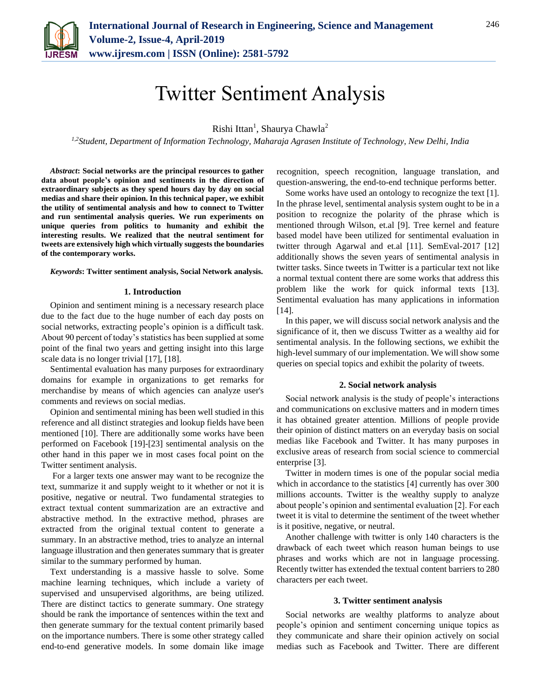

# Twitter Sentiment Analysis

Rishi Ittan<sup>1</sup>, Shaurya Chawla<sup>2</sup>

*1,2Student, Department of Information Technology, Maharaja Agrasen Institute of Technology, New Delhi, India*

*Abstract***: Social networks are the principal resources to gather data about people's opinion and sentiments in the direction of extraordinary subjects as they spend hours day by day on social medias and share their opinion. In this technical paper, we exhibit the utility of sentimental analysis and how to connect to Twitter and run sentimental analysis queries. We run experiments on unique queries from politics to humanity and exhibit the interesting results. We realized that the neutral sentiment for tweets are extensively high which virtually suggests the boundaries of the contemporary works.**

#### *Keywords***: Twitter sentiment analysis, Social Network analysis.**

## **1. Introduction**

Opinion and sentiment mining is a necessary research place due to the fact due to the huge number of each day posts on social networks, extracting people's opinion is a difficult task. About 90 percent of today's statistics has been supplied at some point of the final two years and getting insight into this large scale data is no longer trivial [17], [18].

Sentimental evaluation has many purposes for extraordinary domains for example in organizations to get remarks for merchandise by means of which agencies can analyze user's comments and reviews on social medias.

Opinion and sentimental mining has been well studied in this reference and all distinct strategies and lookup fields have been mentioned [10]. There are additionally some works have been performed on Facebook [19]-[23] sentimental analysis on the other hand in this paper we in most cases focal point on the Twitter sentiment analysis.

For a larger texts one answer may want to be recognize the text, summarize it and supply weight to it whether or not it is positive, negative or neutral. Two fundamental strategies to extract textual content summarization are an extractive and abstractive method. In the extractive method, phrases are extracted from the original textual content to generate a summary. In an abstractive method, tries to analyze an internal language illustration and then generates summary that is greater similar to the summary performed by human.

Text understanding is a massive hassle to solve. Some machine learning techniques, which include a variety of supervised and unsupervised algorithms, are being utilized. There are distinct tactics to generate summary. One strategy should be rank the importance of sentences within the text and then generate summary for the textual content primarily based on the importance numbers. There is some other strategy called end-to-end generative models. In some domain like image recognition, speech recognition, language translation, and question-answering, the end-to-end technique performs better.

Some works have used an ontology to recognize the text [1]. In the phrase level, sentimental analysis system ought to be in a position to recognize the polarity of the phrase which is mentioned through Wilson, et.al [9]. Tree kernel and feature based model have been utilized for sentimental evaluation in twitter through Agarwal and et.al [11]. SemEval-2017 [12] additionally shows the seven years of sentimental analysis in twitter tasks. Since tweets in Twitter is a particular text not like a normal textual content there are some works that address this problem like the work for quick informal texts [13]. Sentimental evaluation has many applications in information [14].

In this paper, we will discuss social network analysis and the significance of it, then we discuss Twitter as a wealthy aid for sentimental analysis. In the following sections, we exhibit the high-level summary of our implementation. We will show some queries on special topics and exhibit the polarity of tweets.

## **2. Social network analysis**

Social network analysis is the study of people's interactions and communications on exclusive matters and in modern times it has obtained greater attention. Millions of people provide their opinion of distinct matters on an everyday basis on social medias like Facebook and Twitter. It has many purposes in exclusive areas of research from social science to commercial enterprise [3].

Twitter in modern times is one of the popular social media which in accordance to the statistics [4] currently has over 300 millions accounts. Twitter is the wealthy supply to analyze about people's opinion and sentimental evaluation [2]. For each tweet it is vital to determine the sentiment of the tweet whether is it positive, negative, or neutral.

Another challenge with twitter is only 140 characters is the drawback of each tweet which reason human beings to use phrases and works which are not in language processing. Recently twitter has extended the textual content barriers to 280 characters per each tweet.

## **3. Twitter sentiment analysis**

Social networks are wealthy platforms to analyze about people's opinion and sentiment concerning unique topics as they communicate and share their opinion actively on social medias such as Facebook and Twitter. There are different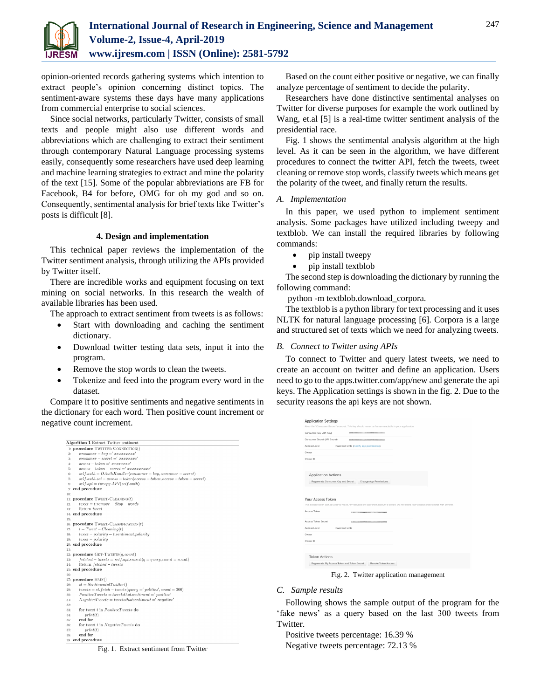

opinion-oriented records gathering systems which intention to extract people's opinion concerning distinct topics. The sentiment-aware systems these days have many applications from commercial enterprise to social sciences.

Since social networks, particularly Twitter, consists of small texts and people might also use different words and abbreviations which are challenging to extract their sentiment through contemporary Natural Language processing systems easily, consequently some researchers have used deep learning and machine learning strategies to extract and mine the polarity of the text [15]. Some of the popular abbreviations are FB for Facebook, B4 for before, OMG for oh my god and so on. Consequently, sentimental analysis for brief texts like Twitter's posts is difficult [8].

## **4. Design and implementation**

This technical paper reviews the implementation of the Twitter sentiment analysis, through utilizing the APIs provided by Twitter itself.

There are incredible works and equipment focusing on text mining on social networks. In this research the wealth of available libraries has been used.

The approach to extract sentiment from tweets is as follows:

- Start with downloading and caching the sentiment dictionary.
- Download twitter testing data sets, input it into the program.
- Remove the stop words to clean the tweets.
- Tokenize and feed into the program every word in the dataset.

Compare it to positive sentiments and negative sentiments in the dictionary for each word. Then positive count increment or negative count increment.

| <b>Algorithm 1 Extract Twitter sentiment</b>                                        |
|-------------------------------------------------------------------------------------|
| 1: procedure TWITTER-CONNECTION()                                                   |
| $consumer - key = 'xxxxxxxx'$<br>$^{2}$                                             |
| $consumer - secret = 'xxxxxxx'$<br>3:                                               |
| $access - token = 'xxxxxxx'$<br>4:                                                  |
| $access - token - secret = 'xxxxxxxx'$<br>5:                                        |
| $self.auth = OAuthHandler(cosumer - key, consumer - secret)$<br>6:                  |
| $self. author.set - access - token (access - token, access - token - secret)$<br>7: |
| $self. api = tweepy. API (self.auth)$<br>8:                                         |
| 9: end procedure                                                                    |
| 10:                                                                                 |
| 11: procedure TWEET-CLEANING $(t)$                                                  |
| $tweet = t$ .remove - $Stop - words$<br>12:                                         |
| Return tweet<br>13:                                                                 |
| 14: end procedure                                                                   |
| 15:                                                                                 |
| 16: procedure TWEET-CLASSIFICATION(t)                                               |
| $t = Tweet - Cleaning(t)$<br>$17 -$                                                 |
| $tweet-polarity = t.sentiment.polarity$<br>18:                                      |
| $tweet - polarity$<br>19:                                                           |
| 20: end procedure                                                                   |
| 21:                                                                                 |
| 22: procedure GET-TWEETS(q, count)                                                  |
| $fetched - tweets = self.api.search(q = query, count = count)$<br>23:               |
| Return fetched - tweets<br>24:                                                      |
| 25: end procedure                                                                   |
| 26-                                                                                 |
| 27: procedure MAIN()                                                                |
| $st = SentimentalTwitter()$<br>28:                                                  |
| $tweets = st.fetch - tweets(query = 'politics', count = 300)$<br>29:                |
| $PositiveTwects = tweets that sentiment = 'positive'$<br>30:                        |
| $NegativeTwects = tweets that sentiment = 'negative'$<br>31:                        |
| 32:                                                                                 |
| for tweet t in <i>PositiveTweets</i> do<br>33:                                      |
| print(t)<br>34:                                                                     |
| end for<br>35:                                                                      |
| for tweet t in NegativeTweets do<br>36:                                             |
| print(t)<br>37:                                                                     |
| end for<br>38:                                                                      |
| 39: end procedure                                                                   |



Based on the count either positive or negative, we can finally analyze percentage of sentiment to decide the polarity.

Researchers have done distinctive sentimental analyses on Twitter for diverse purposes for example the work outlined by Wang, et.al [5] is a real-time twitter sentiment analysis of the presidential race.

Fig. 1 shows the sentimental analysis algorithm at the high level. As it can be seen in the algorithm, we have different procedures to connect the twitter API, fetch the tweets, tweet cleaning or remove stop words, classify tweets which means get the polarity of the tweet, and finally return the results.

# *A. Implementation*

In this paper, we used python to implement sentiment analysis. Some packages have utilized including tweepy and textblob. We can install the required libraries by following commands:

- pip install tweepy
- pip install textblob

The second step is downloading the dictionary by running the following command:

python -m textblob.download\_corpora.

The textblob is a python library for text processing and it uses NLTK for natural language processing [6]. Corpora is a large and structured set of texts which we need for analyzing tweets.

#### *B. Connect to Twitter using APIs*

To connect to Twitter and query latest tweets, we need to create an account on twitter and define an application. Users need to go to the apps.twitter.com/app/new and generate the api keys. The Application settings is shown in the fig. 2. Due to the security reasons the api keys are not shown.

| Consumer Key (API Key)            |                                    | <b>DECODED TODICO TODICO TOOL</b>                                                                                                   |  |
|-----------------------------------|------------------------------------|-------------------------------------------------------------------------------------------------------------------------------------|--|
| Consumer Secret (API Secret)      |                                    |                                                                                                                                     |  |
| Access Level                      |                                    | Read and write (modify app permissions)                                                                                             |  |
| Owner                             |                                    |                                                                                                                                     |  |
| Owner ID                          |                                    |                                                                                                                                     |  |
|                                   |                                    |                                                                                                                                     |  |
| <b>Application Actions</b>        |                                    |                                                                                                                                     |  |
|                                   | Regenerate Consumer Key and Secret |                                                                                                                                     |  |
|                                   |                                    |                                                                                                                                     |  |
|                                   |                                    | Change App Permissions                                                                                                              |  |
|                                   |                                    | This access token can be used to make API requests on your own account's behalf. Do not share your access token secret with anyone. |  |
| Your Access Token<br>Access Token |                                    | xxxxxxxxxxxxxxxxxxxxxxxxxxxxx                                                                                                       |  |
| Access Token Secret               |                                    | 000000000000000000000000000000                                                                                                      |  |
| Anness Level                      | Read and write                     |                                                                                                                                     |  |
| Owner                             |                                    |                                                                                                                                     |  |
| Owner ID                          |                                    |                                                                                                                                     |  |
|                                   |                                    |                                                                                                                                     |  |

Fig. 2. Twitter application management

#### *C. Sample results*

Following shows the sample output of the program for the 'fake news' as a query based on the last 300 tweets from Twitter.

Positive tweets percentage: 16.39 % Negative tweets percentage: 72.13 %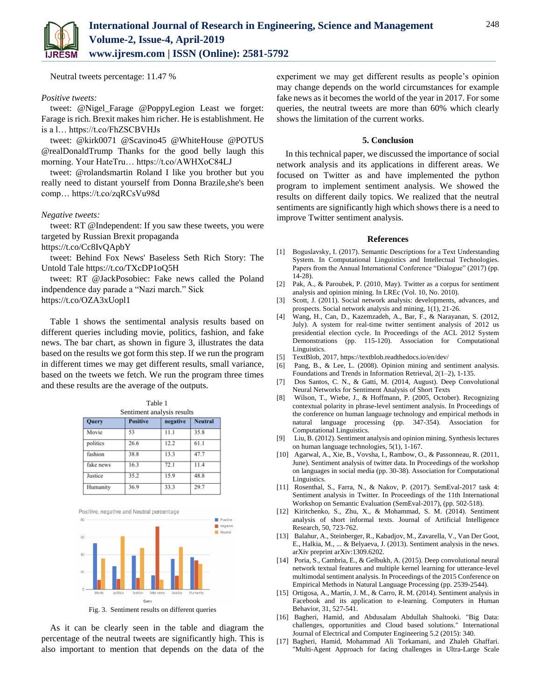

Neutral tweets percentage: 11.47 %

## *Positive tweets:*

tweet: @Nigel\_Farage @PoppyLegion Least we forget: Farage is rich. Brexit makes him richer. He is establishment. He is a l… https://t.co/FhZSCBVHJs

tweet: @kirk0071 @Scavino45 @WhiteHouse @POTUS @realDonaldTrump Thanks for the good belly laugh this morning. Your HateTru… https://t.co/AWHXoC84LJ

tweet: @rolandsmartin Roland I like you brother but you really need to distant yourself from Donna Brazile,she's been comp… https://t.co/zqRCsVu98d

# *Negative tweets:*

tweet: RT @Independent: If you saw these tweets, you were targeted by Russian Brexit propaganda

https://t.co/Cc8IvQApbY

tweet: Behind Fox News' Baseless Seth Rich Story: The Untold Tale https://t.co/TXcDP1oQ5H

tweet: RT @JackPosobiec: Fake news called the Poland indpendence day parade a "Nazi march." Sick

https://t.co/OZA3xUopl1

Table 1 shows the sentimental analysis results based on different queries including movie, politics, fashion, and fake news. The bar chart, as shown in figure 3, illustrates the data based on the results we got form this step. If we run the program in different times we may get different results, small variance, based on the tweets we fetch. We run the program three times and these results are the average of the outputs.

| Table 1                    |                 |          |                |  |  |  |
|----------------------------|-----------------|----------|----------------|--|--|--|
| Sentiment analysis results |                 |          |                |  |  |  |
| Query                      | <b>Positive</b> | negative | <b>Neutral</b> |  |  |  |
| Movie                      | 53              | 11.1     | 35.8           |  |  |  |
| politics                   | 26.6            | 12.2     | 61.1           |  |  |  |
| fashion                    | 38.8            | 13.3     | 47.7           |  |  |  |
| fake news                  | 16.3            | 72.1     | 11.4           |  |  |  |
| Justice                    | 35.2            | 15.9     | 48.8           |  |  |  |
| Humanity                   | 36.9            | 33.3     | 29.7           |  |  |  |



As it can be clearly seen in the table and diagram the percentage of the neutral tweets are significantly high. This is also important to mention that depends on the data of the experiment we may get different results as people's opinion may change depends on the world circumstances for example fake news as it becomes the world of the year in 2017. For some queries, the neutral tweets are more than 60% which clearly shows the limitation of the current works.

# **5. Conclusion**

In this technical paper, we discussed the importance of social network analysis and its applications in different areas. We focused on Twitter as and have implemented the python program to implement sentiment analysis. We showed the results on different daily topics. We realized that the neutral sentiments are significantly high which shows there is a need to improve Twitter sentiment analysis.

#### **References**

- [1] Boguslavsky, I. (2017). Semantic Descriptions for a Text Understanding System. In Computational Linguistics and Intellectual Technologies. Papers from the Annual International Conference "Dialogue" (2017) (pp. 14-28).
- [2] Pak, A., & Paroubek, P. (2010, May). Twitter as a corpus for sentiment analysis and opinion mining. In LREc (Vol. 10, No. 2010).
- [3] Scott, J. (2011). Social network analysis: developments, advances, and prospects. Social network analysis and mining, 1(1), 21-26.
- [4] Wang, H., Can, D., Kazemzadeh, A., Bar, F., & Narayanan, S. (2012, July). A system for real-time twitter sentiment analysis of 2012 us presidential election cycle. In Proceedings of the ACL 2012 System Demonstrations (pp. 115-120). Association for Computational Linguistics.
- [5] TextBlob, 2017, https://textblob.readthedocs.io/en/dev/
- [6] Pang, B., & Lee, L. (2008). Opinion mining and sentiment analysis. Foundations and Trends in Information Retrieval, 2(1–2), 1-135.
- [7] Dos Santos, C. N., & Gatti, M. (2014, August). Deep Convolutional Neural Networks for Sentiment Analysis of Short Texts
- [8] Wilson, T., Wiebe, J., & Hoffmann, P. (2005, October). Recognizing contextual polarity in phrase-level sentiment analysis. In Proceedings of the conference on human language technology and empirical methods in natural language processing (pp. 347-354). Association for Computational Linguistics.
- [9] Liu, B. (2012). Sentiment analysis and opinion mining. Synthesis lectures on human language technologies, 5(1), 1-167.
- [10] Agarwal, A., Xie, B., Vovsha, I., Rambow, O., & Passonneau, R. (2011, June). Sentiment analysis of twitter data. In Proceedings of the workshop on languages in social media (pp. 30-38). Association for Computational Linguistics.
- [11] Rosenthal, S., Farra, N., & Nakov, P. (2017). SemEval-2017 task 4: Sentiment analysis in Twitter. In Proceedings of the 11th International Workshop on Semantic Evaluation (SemEval-2017), (pp. 502-518).
- [12] Kiritchenko, S., Zhu, X., & Mohammad, S. M. (2014). Sentiment analysis of short informal texts. Journal of Artificial Intelligence Research, 50, 723-762.
- [13] Balahur, A., Steinberger, R., Kabadjov, M., Zavarella, V., Van Der Goot, E., Halkia, M., ... & Belyaeva, J. (2013). Sentiment analysis in the news. arXiv preprint arXiv:1309.6202.
- [14] Poria, S., Cambria, E., & Gelbukh, A. (2015). Deep convolutional neural network textual features and multiple kernel learning for utterance-level multimodal sentiment analysis. In Proceedings of the 2015 Conference on Empirical Methods in Natural Language Processing (pp. 2539-2544).
- [15] Ortigosa, A., Martín, J. M., & Carro, R. M. (2014). Sentiment analysis in Facebook and its application to e-learning. Computers in Human Behavior, 31, 527-541.
- [16] Bagheri, Hamid, and Abdusalam Abdullah Shaltooki. "Big Data: challenges, opportunities and Cloud based solutions." International Journal of Electrical and Computer Engineering 5.2 (2015): 340.
- [17] Bagheri, Hamid, Mohammad Ali Torkamani, and Zhaleh Ghaffari. "Multi-Agent Approach for facing challenges in Ultra-Large Scale